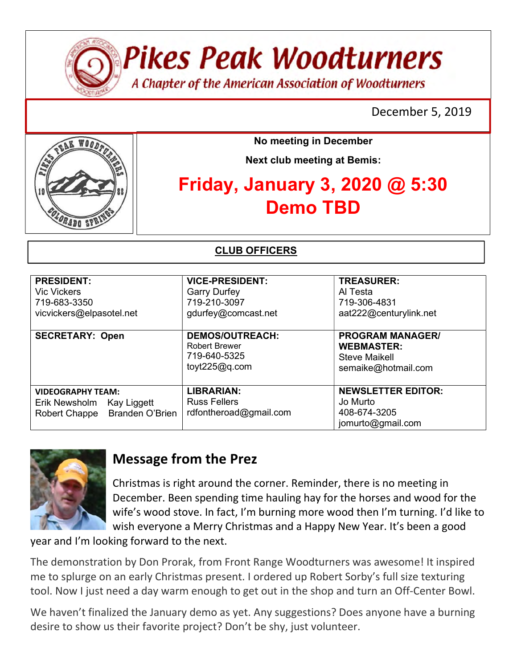

**Pikes Peak Woodturners** 

A Chapter of the American Association of Woodturners

December 5, 2019



No meeting in December

Next club meeting at Bemis:

# Friday, January 3, 2020 @ 5:30 Demo TBD

CLUB OFFICERS

| <b>PRESIDENT:</b><br><b>Vic Vickers</b><br>719-683-3350<br>vicvickers@elpasotel.net                 | <b>VICE-PRESIDENT:</b><br><b>Garry Durfey</b><br>719-210-3097<br>gdurfey@comcast.net | <b>TREASURER:</b><br>Al Testa<br>719-306-4831<br>aat222@centurylink.net                     |
|-----------------------------------------------------------------------------------------------------|--------------------------------------------------------------------------------------|---------------------------------------------------------------------------------------------|
| <b>SECRETARY: Open</b>                                                                              | <b>DEMOS/OUTREACH:</b><br><b>Robert Brewer</b><br>719-640-5325<br>toyt $225@q.com$   | <b>PROGRAM MANAGER/</b><br><b>WEBMASTER:</b><br><b>Steve Maikell</b><br>semaike@hotmail.com |
| <b>VIDEOGRAPHY TEAM:</b><br>Erik Newsholm<br>Kay Liggett<br><b>Branden O'Brien</b><br>Robert Chappe | <b>LIBRARIAN:</b><br><b>Russ Fellers</b><br>rdfontheroad@gmail.com                   | <b>NEWSLETTER EDITOR:</b><br>Jo Murto<br>408-674-3205<br>jomurto@gmail.com                  |



## Message from the Prez

Christmas is right around the corner. Reminder, there is no meeting in December. Been spending time hauling hay for the horses and wood for the wife's wood stove. In fact, I'm burning more wood then I'm turning. I'd like to wish everyone a Merry Christmas and a Happy New Year. It's been a good

year and I'm looking forward to the next.

The demonstration by Don Prorak, from Front Range Woodturners was awesome! It inspired me to splurge on an early Christmas present. I ordered up Robert Sorby's full size texturing tool. Now I just need a day warm enough to get out in the shop and turn an Off-Center Bowl.

We haven't finalized the January demo as yet. Any suggestions? Does anyone have a burning desire to show us their favorite project? Don't be shy, just volunteer.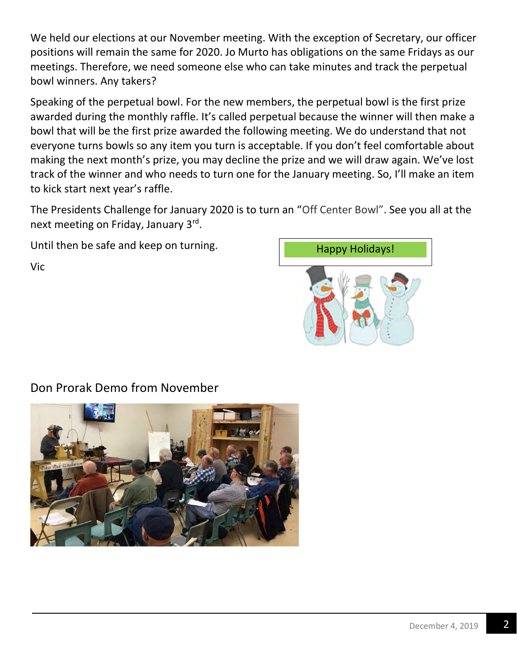We held our elections at our November meeting. With the exception of Secretary, our officer positions will remain the same for 2020. Jo Murto has obligations on the same Fridays as our meetings. Therefore, we need someone else who can take minutes and track the perpetual bowl winners. Any takers?

Speaking of the perpetual bowl. For the new members, the perpetual bowl is the first prize awarded during the monthly raffle. It's called perpetual because the winner will then make a bowl that will be the first prize awarded the following meeting. We do understand that not everyone turns bowls so any item you turn is acceptable. If you don't feel comfortable about making the next month's prize, you may decline the prize and we will draw again. We've lost track of the winner and who needs to turn one for the January meeting. So, I'll make an item to kick start next year's raffle.

The Presidents Challenge for January 2020 is to turn an "Off Center Bowl". See you all at the next meeting on Friday, January 3<sup>rd</sup>.

Until then be safe and keep on turning.

Vic



Don Prorak Demo from November

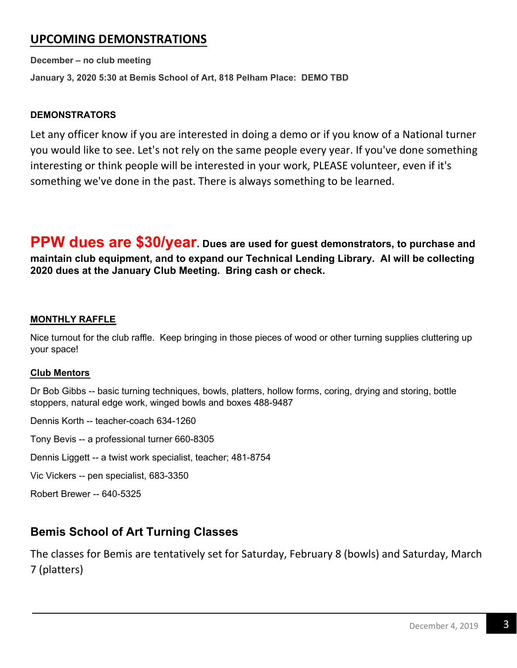## UPCOMING DEMONSTRATIONS

December – no club meeting January 3, 2020 5:30 at Bemis School of Art, 818 Pelham Place: DEMO TBD

#### DEMONSTRATORS

Let any officer know if you are interested in doing a demo or if you know of a National turner you would like to see. Let's not rely on the same people every year. If you've done something interesting or think people will be interested in your work, PLEASE volunteer, even if it's something we've done in the past. There is always something to be learned.

PPW dues are \$30/year. Dues are used for guest demonstrators, to purchase and maintain club equipment, and to expand our Technical Lending Library. Al will be collecting 2020 dues at the January Club Meeting. Bring cash or check.

#### MONTHLY RAFFLE

Nice turnout for the club raffle. Keep bringing in those pieces of wood or other turning supplies cluttering up your space!

#### Club Mentors

Dr Bob Gibbs -- basic turning techniques, bowls, platters, hollow forms, coring, drying and storing, bottle stoppers, natural edge work, winged bowls and boxes 488-9487

Dennis Korth -- teacher-coach 634-1260

Tony Bevis -- a professional turner 660-8305

Dennis Liggett -- a twist work specialist, teacher; 481-8754

Vic Vickers -- pen specialist, 683-3350

Robert Brewer -- 640-5325

## Bemis School of Art Turning Classes

The classes for Bemis are tentatively set for Saturday, February 8 (bowls) and Saturday, March 7 (platters)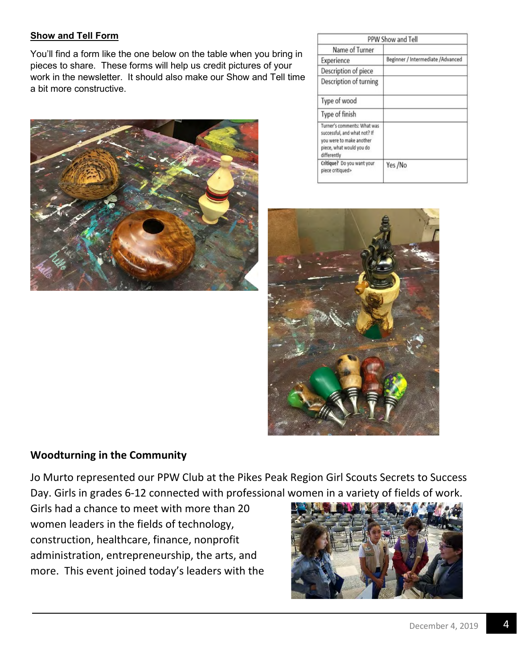#### Show and Tell Form

You'll find a form like the one below on the table when you bring in pieces to share. These forms will help us credit pictures of your work in the newsletter. It should also make our Show and Tell time a bit more constructive.



|                                                                                                                                    | PPW Show and Tell                  |
|------------------------------------------------------------------------------------------------------------------------------------|------------------------------------|
| Name of Turner                                                                                                                     |                                    |
| Experience                                                                                                                         | Beginner / Intermediate / Advanced |
| Description of piece                                                                                                               |                                    |
| Description of turning                                                                                                             |                                    |
| Type of wood                                                                                                                       |                                    |
| Type of finish                                                                                                                     |                                    |
| Turner's comments: What was<br>successful, and what not? If<br>you were to make another<br>piece, what would you do<br>differently |                                    |
| Critique? Do you want your<br>piece critiqued>                                                                                     | Yes /No                            |



### Woodturning in the Community

Jo Murto represented our PPW Club at the Pikes Peak Region Girl Scouts Secrets to Success Day. Girls in grades 6-12 connected with professional women in a variety of fields of work.

Girls had a chance to meet with more than 20 women leaders in the fields of technology, construction, healthcare, finance, nonprofit administration, entrepreneurship, the arts, and more. This event joined today's leaders with the